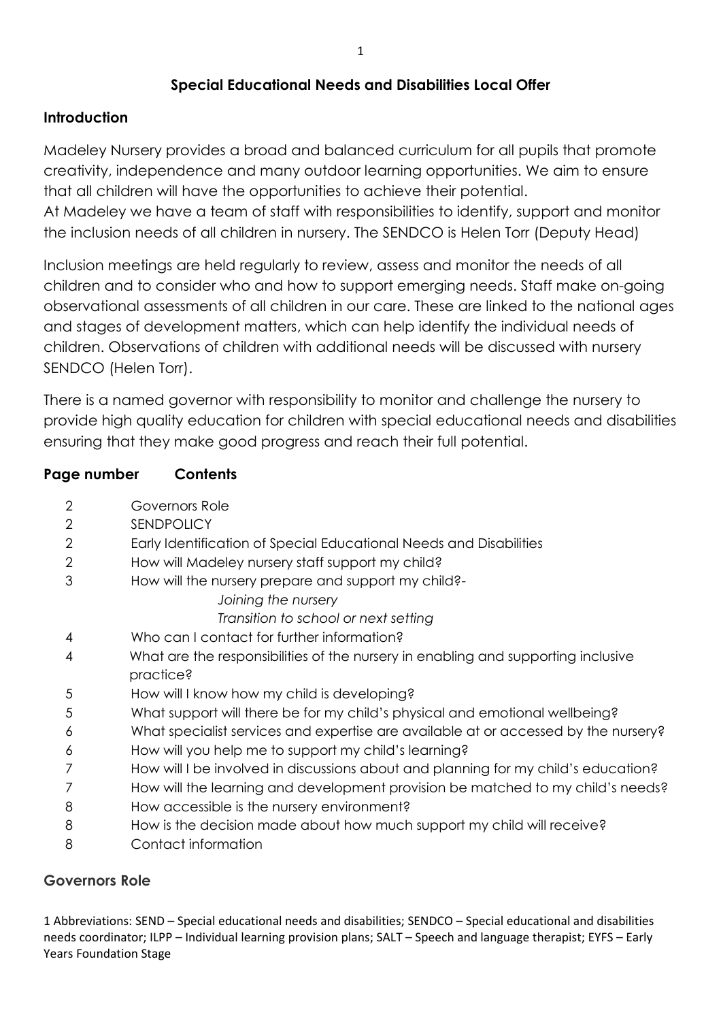# **Special Educational Needs and Disabilities Local Offer**

## **Introduction**

Madeley Nursery provides a broad and balanced curriculum for all pupils that promote creativity, independence and many outdoor learning opportunities. We aim to ensure that all children will have the opportunities to achieve their potential.

At Madeley we have a team of staff with responsibilities to identify, support and monitor the inclusion needs of all children in nursery. The SENDCO is Helen Torr (Deputy Head)

Inclusion meetings are held regularly to review, assess and monitor the needs of all children and to consider who and how to support emerging needs. Staff make on-going observational assessments of all children in our care. These are linked to the national ages and stages of development matters, which can help identify the individual needs of children. Observations of children with additional needs will be discussed with nursery SENDCO (Helen Torr).

There is a named governor with responsibility to monitor and challenge the nursery to provide high quality education for children with special educational needs and disabilities ensuring that they make good progress and reach their full potential.

## **Page number Contents**

|  | Governors Role |
|--|----------------|
|--|----------------|

- 2 SENDPOLICY
- 2 Early Identification of Special Educational Needs and Disabilities
- 2 How will Madeley nursery staff support my child?
- 3 How will the nursery prepare and support my child?-
	- *Joining the nursery*

*Transition to school or next setting* 

- 4 Who can I contact for further information?
- 4 What are the responsibilities of the nursery in enabling and supporting inclusive practice?
- 5 How will I know how my child is developing?
- 5 What support will there be for my child's physical and emotional wellbeing?
- 6 What specialist services and expertise are available at or accessed by the nursery?
- 6 How will you help me to support my child's learning?
- 7 How will I be involved in discussions about and planning for my child's education?
- 7 How will the learning and development provision be matched to my child's needs?
- 8 How accessible is the nursery environment?
- 8 How is the decision made about how much support my child will receive?
- 8 Contact information

# **Governors Role**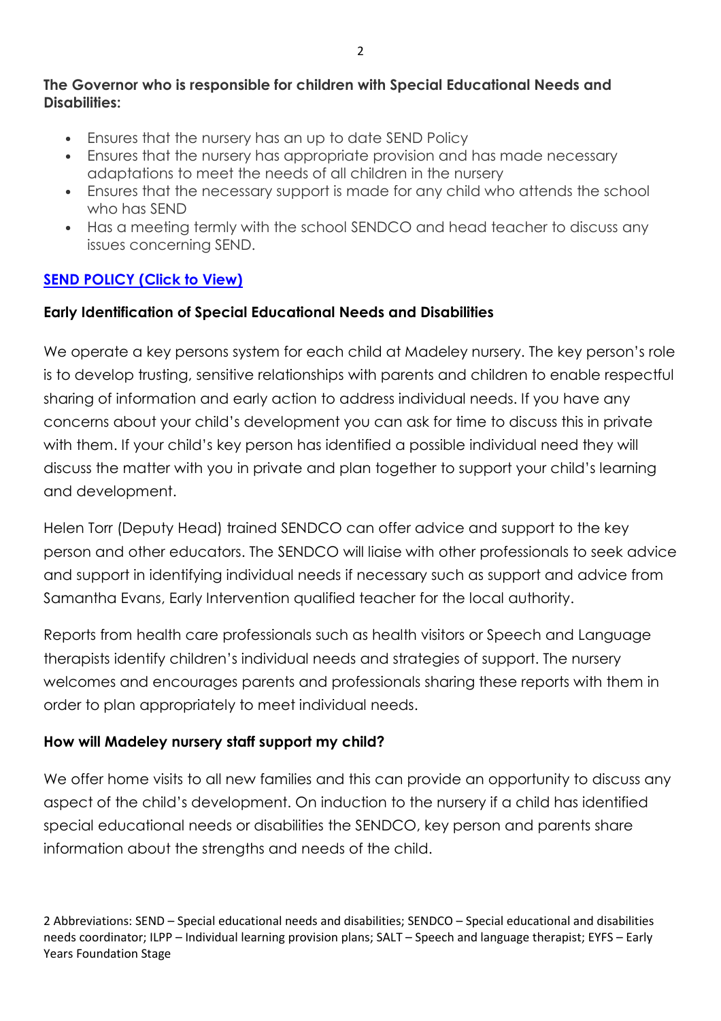#### **The Governor who is responsible for children with Special Educational Needs and Disabilities:**

- Ensures that the nursery has an up to date SEND Policy
- Ensures that the nursery has appropriate provision and has made necessary adaptations to meet the needs of all children in the nursery
- Ensures that the necessary support is made for any child who attends the school who has SEND
- Has a meeting termly with the school SENDCO and head teacher to discuss any issues concerning SEND.

### **SEND POLICY (Click to View)**

#### **Early Identification of Special Educational Needs and Disabilities**

We operate a key persons system for each child at Madeley nursery. The key person's role is to develop trusting, sensitive relationships with parents and children to enable respectful sharing of information and early action to address individual needs. If you have any concerns about your child's development you can ask for time to discuss this in private with them. If your child's key person has identified a possible individual need they will discuss the matter with you in private and plan together to support your child's learning and development.

Helen Torr (Deputy Head) trained SENDCO can offer advice and support to the key person and other educators. The SENDCO will liaise with other professionals to seek advice and support in identifying individual needs if necessary such as support and advice from Samantha Evans, Early Intervention qualified teacher for the local authority.

Reports from health care professionals such as health visitors or Speech and Language therapists identify children's individual needs and strategies of support. The nursery welcomes and encourages parents and professionals sharing these reports with them in order to plan appropriately to meet individual needs.

#### **How will Madeley nursery staff support my child?**

We offer home visits to all new families and this can provide an opportunity to discuss any aspect of the child's development. On induction to the nursery if a child has identified special educational needs or disabilities the SENDCO, key person and parents share information about the strengths and needs of the child.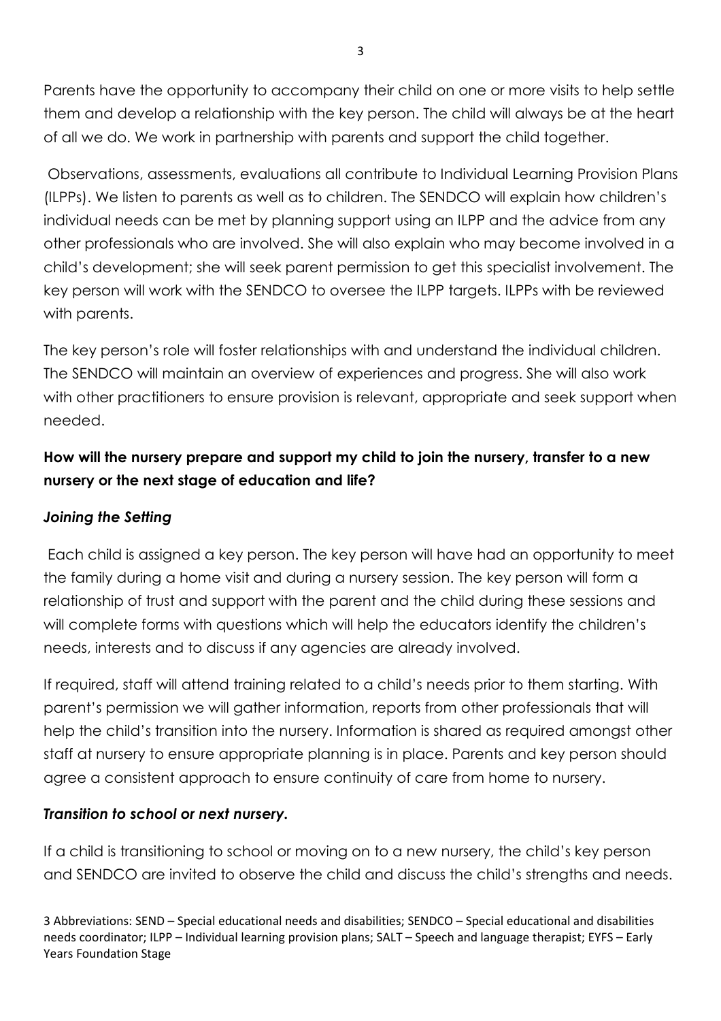Parents have the opportunity to accompany their child on one or more visits to help settle them and develop a relationship with the key person. The child will always be at the heart of all we do. We work in partnership with parents and support the child together.

 Observations, assessments, evaluations all contribute to Individual Learning Provision Plans (ILPPs). We listen to parents as well as to children. The SENDCO will explain how children's individual needs can be met by planning support using an ILPP and the advice from any other professionals who are involved. She will also explain who may become involved in a child's development; she will seek parent permission to get this specialist involvement. The key person will work with the SENDCO to oversee the ILPP targets. ILPPs with be reviewed with parents.

The key person's role will foster relationships with and understand the individual children. The SENDCO will maintain an overview of experiences and progress. She will also work with other practitioners to ensure provision is relevant, appropriate and seek support when needed.

# **How will the nursery prepare and support my child to join the nursery, transfer to a new nursery or the next stage of education and life?**

# *Joining the Setting*

 Each child is assigned a key person. The key person will have had an opportunity to meet the family during a home visit and during a nursery session. The key person will form a relationship of trust and support with the parent and the child during these sessions and will complete forms with questions which will help the educators identify the children's needs, interests and to discuss if any agencies are already involved.

If required, staff will attend training related to a child's needs prior to them starting. With parent's permission we will gather information, reports from other professionals that will help the child's transition into the nursery. Information is shared as required amongst other staff at nursery to ensure appropriate planning is in place. Parents and key person should agree a consistent approach to ensure continuity of care from home to nursery.

# *Transition to school or next nursery.*

If a child is transitioning to school or moving on to a new nursery, the child's key person and SENDCO are invited to observe the child and discuss the child's strengths and needs.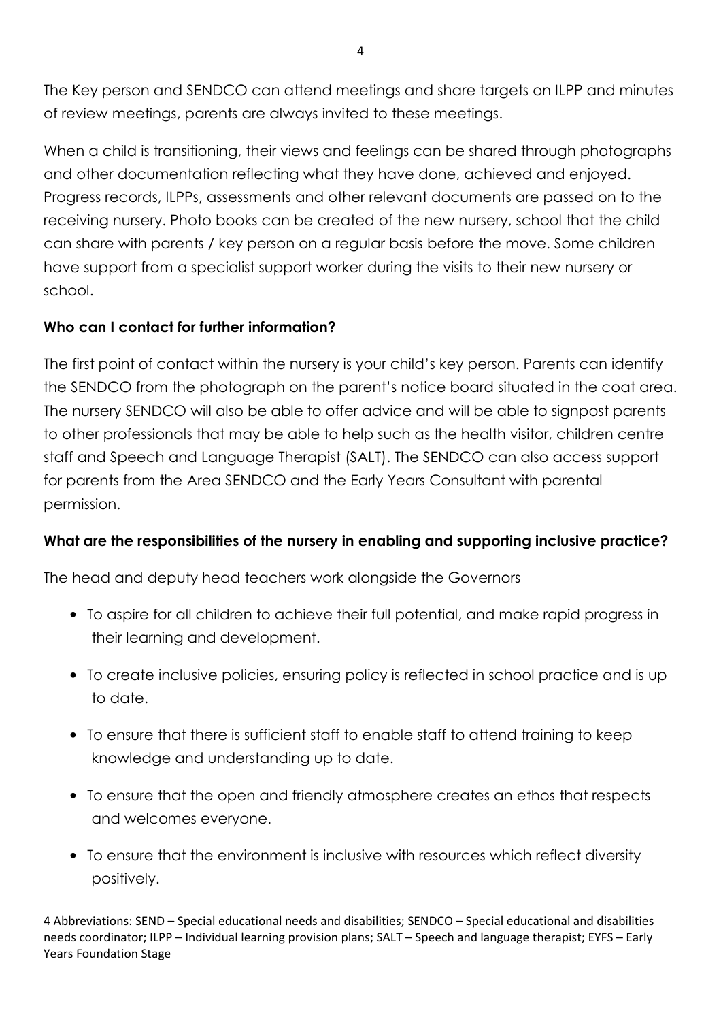The Key person and SENDCO can attend meetings and share targets on ILPP and minutes of review meetings, parents are always invited to these meetings.

When a child is transitioning, their views and feelings can be shared through photographs and other documentation reflecting what they have done, achieved and enjoyed. Progress records, ILPPs, assessments and other relevant documents are passed on to the receiving nursery. Photo books can be created of the new nursery, school that the child can share with parents / key person on a regular basis before the move. Some children have support from a specialist support worker during the visits to their new nursery or school.

## **Who can I contact for further information?**

The first point of contact within the nursery is your child's key person. Parents can identify the SENDCO from the photograph on the parent's notice board situated in the coat area. The nursery SENDCO will also be able to offer advice and will be able to signpost parents to other professionals that may be able to help such as the health visitor, children centre staff and Speech and Language Therapist (SALT). The SENDCO can also access support for parents from the Area SENDCO and the Early Years Consultant with parental permission.

### **What are the responsibilities of the nursery in enabling and supporting inclusive practice?**

The head and deputy head teachers work alongside the Governors

- To aspire for all children to achieve their full potential, and make rapid progress in their learning and development.
- To create inclusive policies, ensuring policy is reflected in school practice and is up to date.
- To ensure that there is sufficient staff to enable staff to attend training to keep knowledge and understanding up to date.
- To ensure that the open and friendly atmosphere creates an ethos that respects and welcomes everyone.
- To ensure that the environment is inclusive with resources which reflect diversity positively.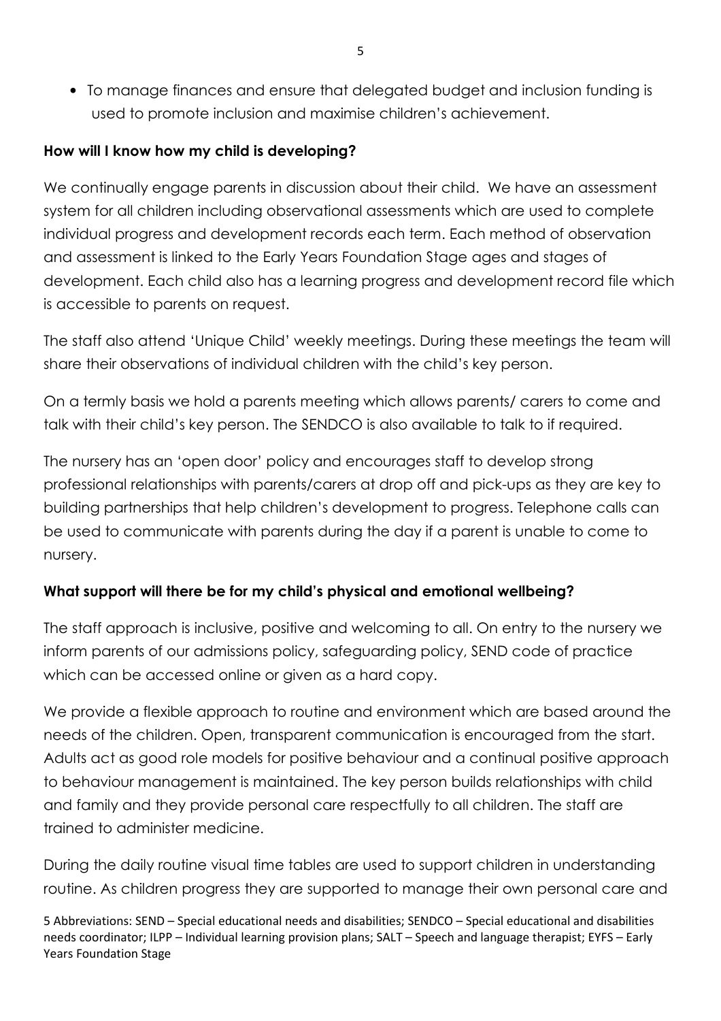• To manage finances and ensure that delegated budget and inclusion funding is used to promote inclusion and maximise children's achievement.

### **How will I know how my child is developing?**

We continually engage parents in discussion about their child. We have an assessment system for all children including observational assessments which are used to complete individual progress and development records each term. Each method of observation and assessment is linked to the Early Years Foundation Stage ages and stages of development. Each child also has a learning progress and development record file which is accessible to parents on request.

The staff also attend 'Unique Child' weekly meetings. During these meetings the team will share their observations of individual children with the child's key person.

On a termly basis we hold a parents meeting which allows parents/ carers to come and talk with their child's key person. The SENDCO is also available to talk to if required.

The nursery has an 'open door' policy and encourages staff to develop strong professional relationships with parents/carers at drop off and pick-ups as they are key to building partnerships that help children's development to progress. Telephone calls can be used to communicate with parents during the day if a parent is unable to come to nursery.

# **What support will there be for my child's physical and emotional wellbeing?**

The staff approach is inclusive, positive and welcoming to all. On entry to the nursery we inform parents of our admissions policy, safeguarding policy, SEND code of practice which can be accessed online or given as a hard copy.

We provide a flexible approach to routine and environment which are based around the needs of the children. Open, transparent communication is encouraged from the start. Adults act as good role models for positive behaviour and a continual positive approach to behaviour management is maintained. The key person builds relationships with child and family and they provide personal care respectfully to all children. The staff are trained to administer medicine.

During the daily routine visual time tables are used to support children in understanding routine. As children progress they are supported to manage their own personal care and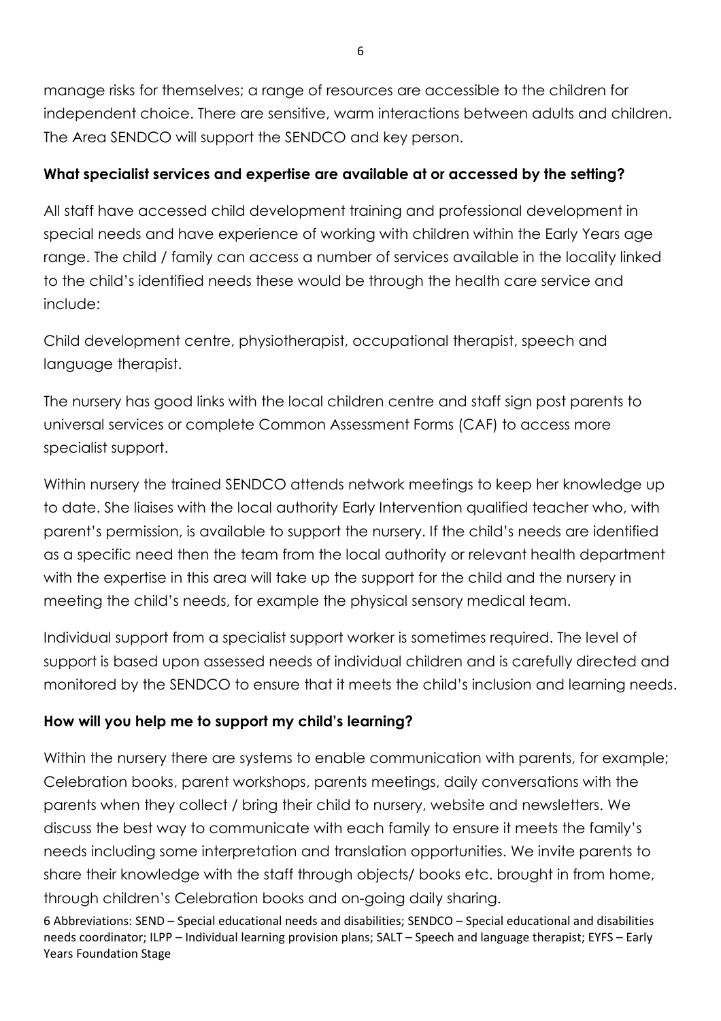manage risks for themselves; a range of resources are accessible to the children for independent choice. There are sensitive, warm interactions between adults and children. The Area SENDCO will support the SENDCO and key person.

# **What specialist services and expertise are available at or accessed by the setting?**

All staff have accessed child development training and professional development in special needs and have experience of working with children within the Early Years age range. The child / family can access a number of services available in the locality linked to the child's identified needs these would be through the health care service and include:

Child development centre, physiotherapist, occupational therapist, speech and language therapist.

The nursery has good links with the local children centre and staff sign post parents to universal services or complete Common Assessment Forms (CAF) to access more specialist support.

Within nursery the trained SENDCO attends network meetings to keep her knowledge up to date. She liaises with the local authority Early Intervention qualified teacher who, with parent's permission, is available to support the nursery. If the child's needs are identified as a specific need then the team from the local authority or relevant health department with the expertise in this area will take up the support for the child and the nursery in meeting the child's needs, for example the physical sensory medical team.

Individual support from a specialist support worker is sometimes required. The level of support is based upon assessed needs of individual children and is carefully directed and monitored by the SENDCO to ensure that it meets the child's inclusion and learning needs.

# **How will you help me to support my child's learning?**

Within the nursery there are systems to enable communication with parents, for example; Celebration books, parent workshops, parents meetings, daily conversations with the parents when they collect / bring their child to nursery, website and newsletters. We discuss the best way to communicate with each family to ensure it meets the family's needs including some interpretation and translation opportunities. We invite parents to share their knowledge with the staff through objects/ books etc. brought in from home, through children's Celebration books and on-going daily sharing.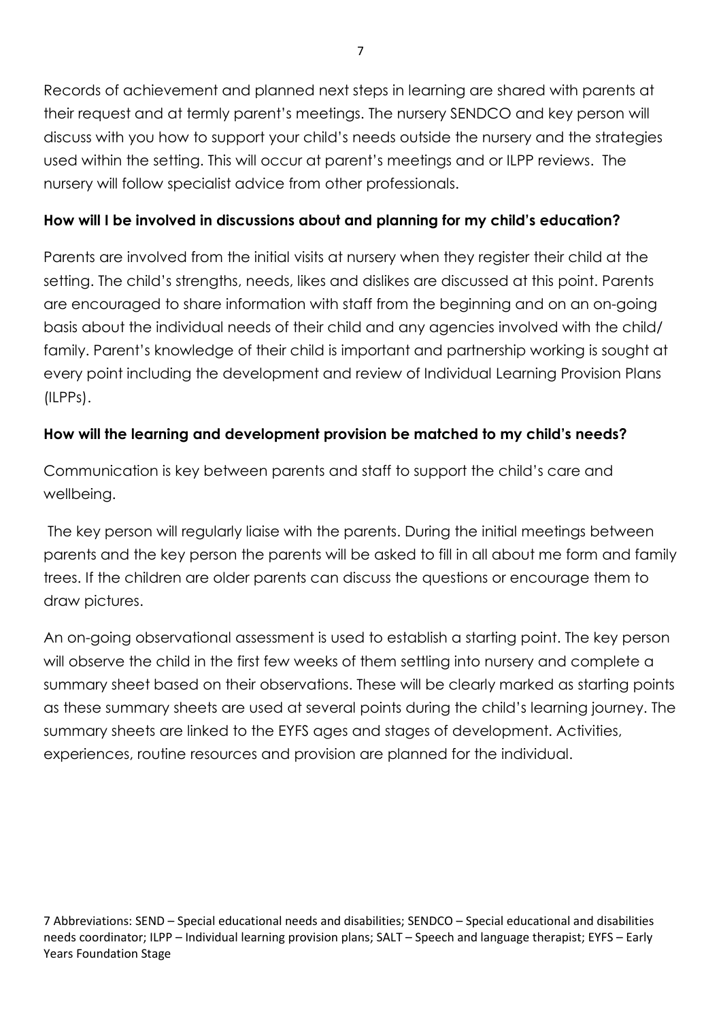Records of achievement and planned next steps in learning are shared with parents at their request and at termly parent's meetings. The nursery SENDCO and key person will discuss with you how to support your child's needs outside the nursery and the strategies used within the setting. This will occur at parent's meetings and or ILPP reviews. The nursery will follow specialist advice from other professionals.

## **How will I be involved in discussions about and planning for my child's education?**

Parents are involved from the initial visits at nursery when they register their child at the setting. The child's strengths, needs, likes and dislikes are discussed at this point. Parents are encouraged to share information with staff from the beginning and on an on-going basis about the individual needs of their child and any agencies involved with the child/ family. Parent's knowledge of their child is important and partnership working is sought at every point including the development and review of Individual Learning Provision Plans (ILPPs).

## **How will the learning and development provision be matched to my child's needs?**

Communication is key between parents and staff to support the child's care and wellbeing.

 The key person will regularly liaise with the parents. During the initial meetings between parents and the key person the parents will be asked to fill in all about me form and family trees. If the children are older parents can discuss the questions or encourage them to draw pictures.

An on-going observational assessment is used to establish a starting point. The key person will observe the child in the first few weeks of them settling into nursery and complete a summary sheet based on their observations. These will be clearly marked as starting points as these summary sheets are used at several points during the child's learning journey. The summary sheets are linked to the EYFS ages and stages of development. Activities, experiences, routine resources and provision are planned for the individual.